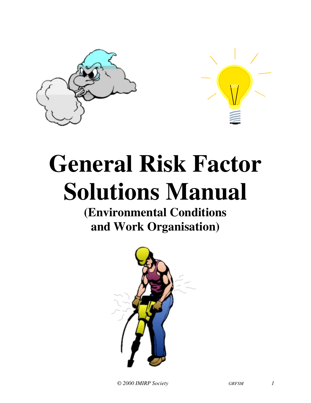



# **General Risk Factor Solutions Manual**

**(Environmental Conditions and Work Organisation)**

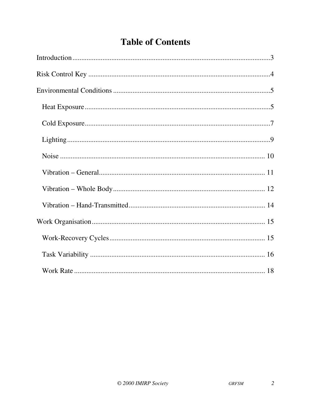### **Table of Contents**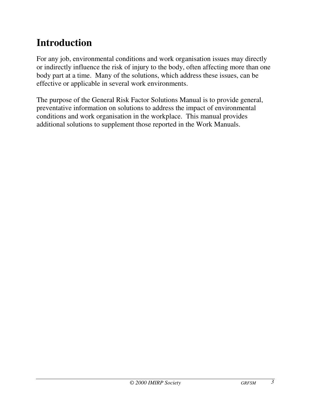## <span id="page-2-0"></span>**Introduction**

For any job, environmental conditions and work organisation issues may directly or indirectly influence the risk of injury to the body, often affecting more than one body part at a time. Many of the solutions, which address these issues, can be effective or applicable in several work environments.

The purpose of the General Risk Factor Solutions Manual is to provide general, preventative information on solutions to address the impact of environmental conditions and work organisation in the workplace. This manual provides additional solutions to supplement those reported in the Work Manuals.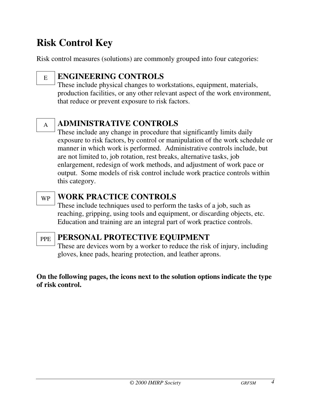# <span id="page-3-0"></span>**Risk Control Key**

Risk control measures (solutions) are commonly grouped into four categories:

### E **ENGINEERING CONTROLS**

These include physical changes to workstations, equipment, materials, production facilities, or any other relevant aspect of the work environment, that reduce or prevent exposure to risk factors.

### <sup>A</sup> **ADMINISTRATIVE CONTROLS**

These include any change in procedure that significantly limits daily exposure to risk factors, by control or manipulation of the work schedule or manner in which work is performed. Administrative controls include, but are not limited to, job rotation, rest breaks, alternative tasks, job enlargement, redesign of work methods, and adjustment of work pace or output. Some models of risk control include work practice controls within this category.

### WP **WORK PRACTICE CONTROLS**

These include techniques used to perform the tasks of a job, such as reaching, gripping, using tools and equipment, or discarding objects, etc. Education and training are an integral part of work practice controls.

### PPE **PERSONAL PROTECTIVE EQUIPMENT**

These are devices worn by a worker to reduce the risk of injury, including gloves, knee pads, hearing protection, and leather aprons.

#### **On the following pages, the icons next to the solution options indicate the type of risk control.**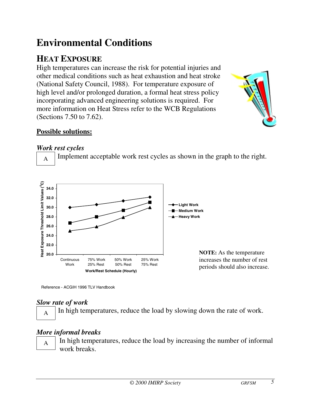# <span id="page-4-0"></span>**Environmental Conditions**

### **HEAT EXPOSURE**

High temperatures can increase the risk for potential injuries and other medical conditions such as heat exhaustion and heat stroke (National Safety Council, 1988). For temperature exposure of high level and/or prolonged duration, a formal heat stress policy incorporating advanced engineering solutions is required. For more information on Heat Stress refer to the WCB Regulations (Sections 7.50 to 7.62).



#### **Possible solutions:**

#### *Work rest cycles*

 $_{A}$  Implement acceptable work rest cycles as shown in the graph to the right.



Reference - ACGIH 1996 TLV Handbook

#### *Slow rate of work*

 $A \mid$  In high temperatures, reduce the load by slowing down the rate of work.

### *More informal breaks*

 $_{A}$  In high temperatures, reduce the load by increasing the number of informal work breaks.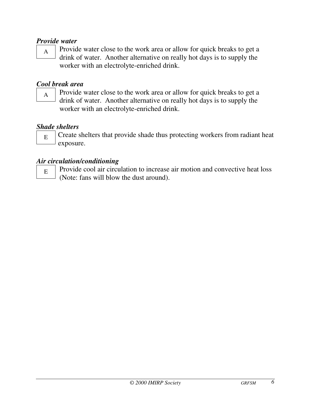#### *Provide water*

 $A \mid$  Provide water close to the work area or allow for quick breaks to get a drink of water. Another alternative on really hot days is to supply the worker with an electrolyte-enriched drink.

#### *Cool break area*

 $A \mid$  Provide water close to the work area or allow for quick breaks to get a drink of water. Another alternative on really hot days is to supply the worker with an electrolyte-enriched drink.

#### *Shade shelters*

 $E_{\rm E}$  Create shelters that provide shade thus protecting workers from radiant heat exposure.

#### *Air circulation/conditioning*

 $E_{\rm E}$  Provide cool air circulation to increase air motion and convective heat loss (Note: fans will blow the dust around).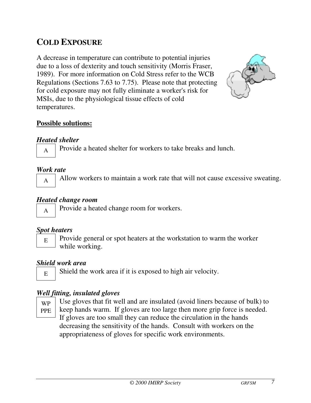### <span id="page-6-0"></span>**COLD EXPOSURE**

A decrease in temperature can contribute to potential injuries due to a loss of dexterity and touch sensitivity (Morris Fraser, 1989). For more information on Cold Stress refer to the WCB Regulations (Sections 7.63 to 7.75). Please note that protecting for cold exposure may not fully eliminate a worker's risk for MSIs, due to the physiological tissue effects of cold temperatures.



#### **Possible solutions:**

#### *Heated shelter*

 $_{A}$  Provide a heated shelter for workers to take breaks and lunch.

#### *Work rate*

 $_{A}$  | Allow workers to maintain a work rate that will not cause excessive sweating.

#### *Heated change room*

 $_{A}$  Provide a heated change room for workers.

#### *Spot heaters*

 $E_{\rm E}$  Provide general or spot heaters at the workstation to warm the worker while working.

#### *Shield work area*

 $E_{\rm E}$  Shield the work area if it is exposed to high air velocity.

#### *Well fitting, insulated gloves*

WP PPE

Use gloves that fit well and are insulated (avoid liners because of bulk) to keep hands warm. If gloves are too large then more grip force is needed. If gloves are too small they can reduce the circulation in the hands decreasing the sensitivity of the hands. Consult with workers on the appropriateness of gloves for specific work environments.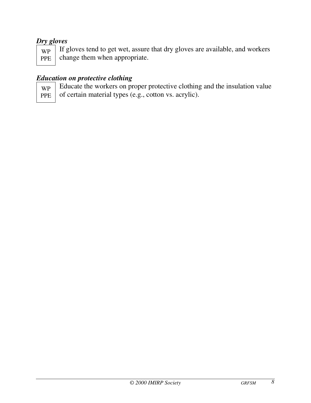#### *Dry gloves*

| WР  |  |
|-----|--|
| PPE |  |

If gloves tend to get wet, assure that dry gloves are available, and workers change them when appropriate.

#### *Education on protective clothing*

WP Educate the workers on proper protective clothing and the insulation value

PPE

of certain material types (e.g., cotton vs. acrylic).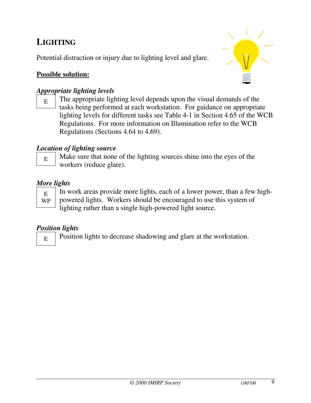### <span id="page-8-0"></span>**LIGHTING**

Potential distraction or injury due to lighting level and glare.

#### **Possible solution:**

#### *Appropriate lighting levels*



#### *Location of lighting source*

 $E_{\rm E}$  Make sure that none of the lighting sources shine into the eyes of the workers (reduce glare).

#### *More lights*

E WP In work areas provide more lights, each of a lower power, than a few highpowered lights. Workers should be encouraged to use this system of lighting rather than a single high-powered light source.

#### *Position lights*

 $E_{\rm E}$  Position lights to decrease shadowing and glare at the workstation.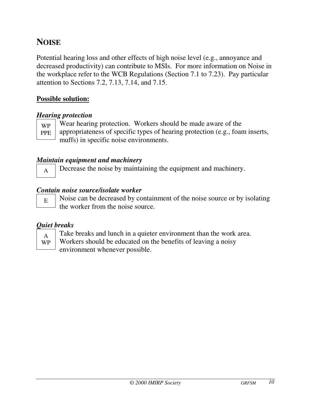### <span id="page-9-0"></span>**NOISE**

Potential hearing loss and other effects of high noise level (e.g., annoyance and decreased productivity) can contribute to MSIs. For more information on Noise in the workplace refer to the WCB Regulations (Section 7.1 to 7.23). Pay particular attention to Sections 7.2, 7.13, 7.14, and 7.15.

#### **Possible solution:**

#### *Hearing protection*

WP PPE Wear hearing protection. Workers should be made aware of the appropriateness of specific types of hearing protection (e.g., foam inserts, muffs) in specific noise environments.

#### *Maintain equipment and machinery*

 $A \mid$  Decrease the noise by maintaining the equipment and machinery.

#### *Contain noise source/isolate worker*

 $E_{\rm E}$  Noise can be decreased by containment of the noise source or by isolating the worker from the noise source.

#### *Quiet breaks*



Take breaks and lunch in a quieter environment than the work area. Workers should be educated on the benefits of leaving a noisy environment whenever possible.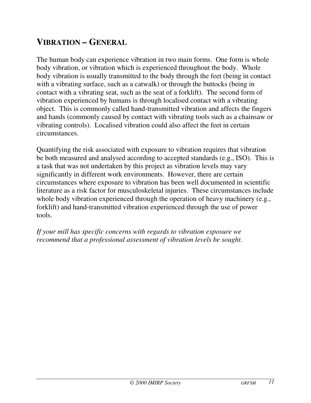### <span id="page-10-0"></span>**VIBRATION – GENERAL**

The human body can experience vibration in two main forms. One form is whole body vibration, or vibration which is experienced throughout the body. Whole body vibration is usually transmitted to the body through the feet (being in contact with a vibrating surface, such as a catwalk) or through the buttocks (being in contact with a vibrating seat, such as the seat of a forklift). The second form of vibration experienced by humans is through localised contact with a vibrating object. This is commonly called hand-transmitted vibration and affects the fingers and hands (commonly caused by contact with vibrating tools such as a chainsaw or vibrating controls). Localised vibration could also affect the feet in certain circumstances.

Quantifying the risk associated with exposure to vibration requires that vibration be both measured and analysed according to accepted standards (e.g., ISO). This is a task that was not undertaken by this project as vibration levels may vary significantly in different work environments. However, there are certain circumstances where exposure to vibration has been well documented in scientific literature as a risk factor for musculoskeletal injuries. These circumstances include whole body vibration experienced through the operation of heavy machinery (e.g., forklift) and hand-transmitted vibration experienced through the use of power tools.

*If your mill has specific concerns with regards to vibration exposure we recommend that a professional assessment of vibration levels be sought.*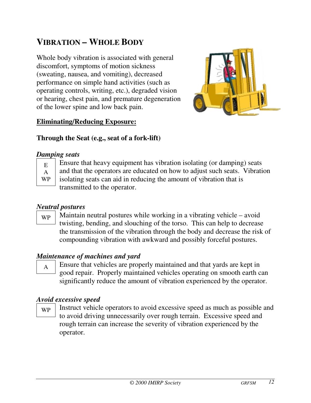### <span id="page-11-0"></span>**VIBRATION – WHOLE BODY**

Whole body vibration is associated with general discomfort, symptoms of motion sickness (sweating, nausea, and vomiting), decreased performance on simple hand activities (such as operating controls, writing, etc.), degraded vision or hearing, chest pain, and premature degeneration of the lower spine and low back pain.



#### **Eliminating/Reducing Exposure:**

#### **Through the Seat (e.g., seat of a fork-lift)**

#### *Damping seats*

 $E$ A

- Ensure that heavy equipment has vibration isolating (or damping) seats
- WP and that the operators are educated on how to adjust such seats. Vibration isolating seats can aid in reducing the amount of vibration that is transmitted to the operator.

#### *Neutral postures*

 $_{WP}$  | Maintain neutral postures while working in a vibrating vehicle – avoid twisting, bending, and slouching of the torso. This can help to decrease the transmission of the vibration through the body and decrease the risk of compounding vibration with awkward and possibly forceful postures.

#### *Maintenance of machines and yard*

 $\overline{A}$  Ensure that vehicles are properly maintained and that yards are kept in good repair. Properly maintained vehicles operating on smooth earth can significantly reduce the amount of vibration experienced by the operator.

#### *Avoid excessive speed*

 $_{\text{WP}}$  Instruct vehicle operators to avoid excessive speed as much as possible and to avoid driving unnecessarily over rough terrain. Excessive speed and rough terrain can increase the severity of vibration experienced by the operator.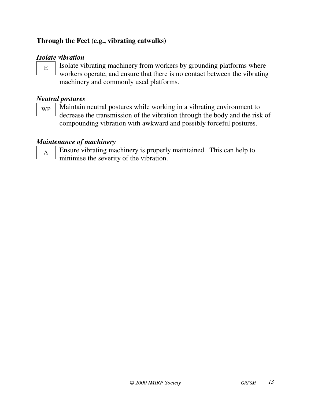#### **Through the Feet (e.g., vibrating catwalks)**

#### *Isolate vibration*

 $E_{\rm E}$  Isolate vibrating machinery from workers by grounding platforms where workers operate, and ensure that there is no contact between the vibrating machinery and commonly used platforms.

#### *Neutral postures*

 $W_{\text{WP}}$  Maintain neutral postures while working in a vibrating environment to decrease the transmission of the vibration through the body and the risk of compounding vibration with awkward and possibly forceful postures.

#### *Maintenance of machinery*

 $\mathbf{A}$  Ensure vibrating machinery is properly maintained. This can help to minimise the severity of the vibration.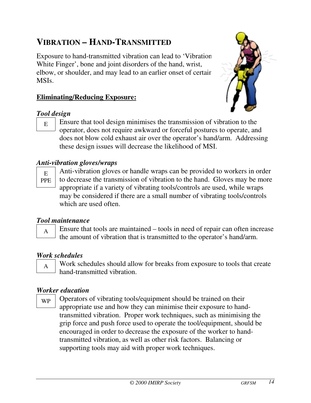### <span id="page-13-0"></span>**VIBRATION – HAND-TRANSMITTED**

Exposure to hand-transmitted vibration can lead to 'Vibration White Finger', bone and joint disorders of the hand, wrist, elbow, or shoulder, and may lead to an earlier onset of certain MSIs.

#### **Eliminating/Reducing Exposure:**



#### *Tool design*

 $E_{\rm E}$  Ensure that tool design minimises the transmission of vibration to the operator, does not require awkward or forceful postures to operate, and does not blow cold exhaust air over the operator's hand/arm. Addressing these design issues will decrease the likelihood of MSI.

#### *Anti-vibration gloves/wraps*

 $E$ PPE Anti-vibration gloves or handle wraps can be provided to workers in order to decrease the transmission of vibration to the hand. Gloves may be more appropriate if a variety of vibrating tools/controls are used, while wraps may be considered if there are a small number of vibrating tools/controls which are used often.

#### *Tool maintenance*

 $_{A}$  | Ensure that tools are maintained – tools in need of repair can often increase the amount of vibration that is transmitted to the operator's hand/arm.

#### *Work schedules*

 $_{A}$  Work schedules should allow for breaks from exposure to tools that create hand-transmitted vibration.

#### *Worker education*

 $_{WP}$  | Operators of vibrating tools/equipment should be trained on their appropriate use and how they can minimise their exposure to handtransmitted vibration. Proper work techniques, such as minimising the grip force and push force used to operate the tool/equipment, should be encouraged in order to decrease the exposure of the worker to handtransmitted vibration, as well as other risk factors. Balancing or supporting tools may aid with proper work techniques.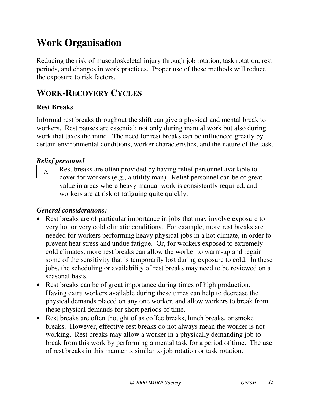### <span id="page-14-0"></span>**Work Organisation**

Reducing the risk of musculoskeletal injury through job rotation, task rotation, rest periods, and changes in work practices. Proper use of these methods will reduce the exposure to risk factors.

### **WORK-RECOVERY CYCLES**

#### **Rest Breaks**

Informal rest breaks throughout the shift can give a physical and mental break to workers. Rest pauses are essential; not only during manual work but also during work that taxes the mind. The need for rest breaks can be influenced greatly by certain environmental conditions, worker characteristics, and the nature of the task.

#### *Relief personnel*

 $\overline{A}$  Rest breaks are often provided by having relief personnel available to cover for workers (e.g., a utility man). Relief personnel can be of great value in areas where heavy manual work is consistently required, and workers are at risk of fatiguing quite quickly.

#### *General considerations:*

- Rest breaks are of particular importance in jobs that may involve exposure to very hot or very cold climatic conditions. For example, more rest breaks are needed for workers performing heavy physical jobs in a hot climate, in order to prevent heat stress and undue fatigue. Or, for workers exposed to extremely cold climates, more rest breaks can allow the worker to warm-up and regain some of the sensitivity that is temporarily lost during exposure to cold. In these jobs, the scheduling or availability of rest breaks may need to be reviewed on a seasonal basis.
- Rest breaks can be of great importance during times of high production. Having extra workers available during these times can help to decrease the physical demands placed on any one worker, and allow workers to break from these physical demands for short periods of time.
- Rest breaks are often thought of as coffee breaks, lunch breaks, or smoke breaks. However, effective rest breaks do not always mean the worker is not working. Rest breaks may allow a worker in a physically demanding job to break from this work by performing a mental task for a period of time. The use of rest breaks in this manner is similar to job rotation or task rotation.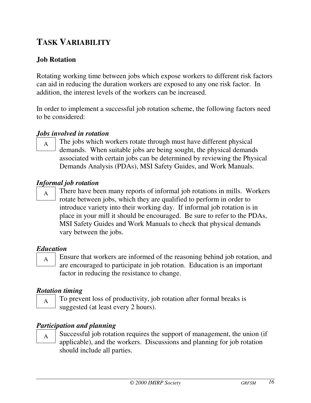### <span id="page-15-0"></span>**TASK VARIABILITY**

#### **Job Rotation**

Rotating working time between jobs which expose workers to different risk factors can aid in reducing the duration workers are exposed to any one risk factor. In addition, the interest levels of the workers can be increased.

In order to implement a successful job rotation scheme, the following factors need to be considered:

#### *Jobs involved in rotation*

 $_{A}$  The jobs which workers rotate through must have different physical demands. When suitable jobs are being sought, the physical demands associated with certain jobs can be determined by reviewing the Physical Demands Analysis (PDAs), MSI Safety Guides, and Work Manuals.

#### *Informal job rotation*

 $_{A}$  There have been many reports of informal job rotations in mills. Workers rotate between jobs, which they are qualified to perform in order to introduce variety into their working day. If informal job rotation is in place in your mill it should be encouraged. Be sure to refer to the PDAs, MSI Safety Guides and Work Manuals to check that physical demands vary between the jobs.

#### *Education*

 $_{A}$  Ensure that workers are informed of the reasoning behind job rotation, and are encouraged to participate in job rotation. Education is an important factor in reducing the resistance to change.

#### *Rotation timing*

 $_{A}$  To prevent loss of productivity, job rotation after formal breaks is suggested (at least every 2 hours).

#### *Participation and planning*

 $_{A}$  Successful job rotation requires the support of management, the union (if applicable), and the workers. Discussions and planning for job rotation should include all parties.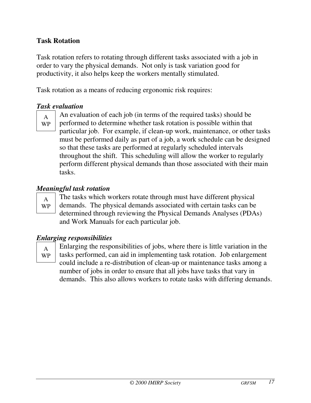#### **Task Rotation**

Task rotation refers to rotating through different tasks associated with a job in order to vary the physical demands. Not only is task variation good for productivity, it also helps keep the workers mentally stimulated.

Task rotation as a means of reducing ergonomic risk requires:

#### *Task evaluation*



An evaluation of each job (in terms of the required tasks) should be performed to determine whether task rotation is possible within that particular job. For example, if clean-up work, maintenance, or other tasks must be performed daily as part of a job, a work schedule can be designed so that these tasks are performed at regularly scheduled intervals throughout the shift. This scheduling will allow the worker to regularly perform different physical demands than those associated with their main tasks.

#### *Meaningful task rotation*

A WP

The tasks which workers rotate through must have different physical demands. The physical demands associated with certain tasks can be determined through reviewing the Physical Demands Analyses (PDAs) and Work Manuals for each particular job.

#### *Enlarging responsibilities*

A WP

Enlarging the responsibilities of jobs, where there is little variation in the tasks performed, can aid in implementing task rotation. Job enlargement could include a re-distribution of clean-up or maintenance tasks among a number of jobs in order to ensure that all jobs have tasks that vary in demands. This also allows workers to rotate tasks with differing demands.